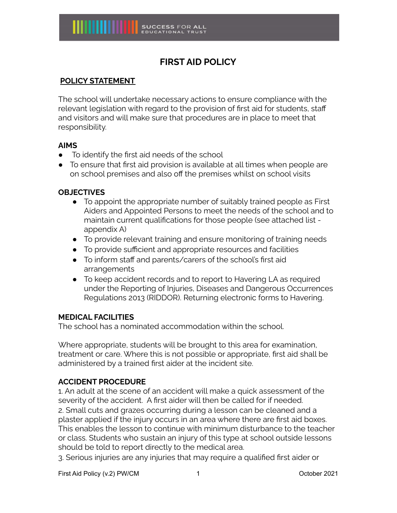# **FIRST AID POLICY**

# **POLICY STATEMENT**

The school will undertake necessary actions to ensure compliance with the relevant legislation with regard to the provision of first aid for students, staff and visitors and will make sure that procedures are in place to meet that responsibility.

### **AIMS**

- To identify the first aid needs of the school
- To ensure that first aid provision is available at all times when people are on school premises and also off the premises whilst on school visits

### **OBJECTIVES**

- To appoint the appropriate number of suitably trained people as First Aiders and Appointed Persons to meet the needs of the school and to maintain current qualifications for those people (see attached list appendix A)
- To provide relevant training and ensure monitoring of training needs
- To provide sufficient and appropriate resources and facilities
- To inform staff and parents/carers of the school's first aid arrangements
- To keep accident records and to report to Havering LA as required under the Reporting of Injuries, Diseases and Dangerous Occurrences Regulations 2013 (RIDDOR). Returning electronic forms to Havering.

### **MEDICAL FACILITIES**

The school has a nominated accommodation within the school.

Where appropriate, students will be brought to this area for examination, treatment or care. Where this is not possible or appropriate, first aid shall be administered by a trained first aider at the incident site.

# **ACCIDENT PROCEDURE**

1. An adult at the scene of an accident will make a quick assessment of the severity of the accident. A first aider will then be called for if needed. 2. Small cuts and grazes occurring during a lesson can be cleaned and a plaster applied if the injury occurs in an area where there are first aid boxes. This enables the lesson to continue with minimum disturbance to the teacher or class. Students who sustain an injury of this type at school outside lessons should be told to report directly to the medical area.

3. Serious injuries are any injuries that may require a qualified first aider or

First Aid Policy (v.2) PW/CM 1 1 1 1 1 0ctober 2021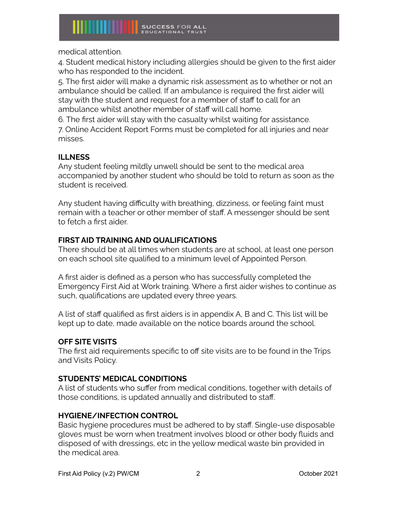medical attention.

4. Student medical history including allergies should be given to the first aider who has responded to the incident.

5. The first aider will make a dynamic risk assessment as to whether or not an ambulance should be called. If an ambulance is required the first aider will stay with the student and request for a member of staff to call for an ambulance whilst another member of staff will call home.

6. The first aider will stay with the casualty whilst waiting for assistance.

7. Online Accident Report Forms must be completed for all injuries and near misses.

# **ILLNESS**

Any student feeling mildly unwell should be sent to the medical area accompanied by another student who should be told to return as soon as the student is received.

Any student having difficulty with breathing, dizziness, or feeling faint must remain with a teacher or other member of staff. A messenger should be sent to fetch a first aider.

# **FIRST AID TRAINING AND QUALIFICATIONS**

There should be at all times when students are at school, at least one person on each school site qualified to a minimum level of Appointed Person.

A first aider is defined as a person who has successfully completed the Emergency First Aid at Work training. Where a first aider wishes to continue as such, qualifications are updated every three years.

A list of staff qualified as first aiders is in appendix A, B and C. This list will be kept up to date, made available on the notice boards around the school.

# **OFF SITE VISITS**

The first aid requirements specific to off site visits are to be found in the Trips and Visits Policy.

# **STUDENTS' MEDICAL CONDITIONS**

A list of students who suffer from medical conditions, together with details of those conditions, is updated annually and distributed to staff.

# **HYGIENE/INFECTION CONTROL**

Basic hygiene procedures must be adhered to by staff. Single-use disposable gloves must be worn when treatment involves blood or other body fluids and disposed of with dressings, etc in the yellow medical waste bin provided in the medical area.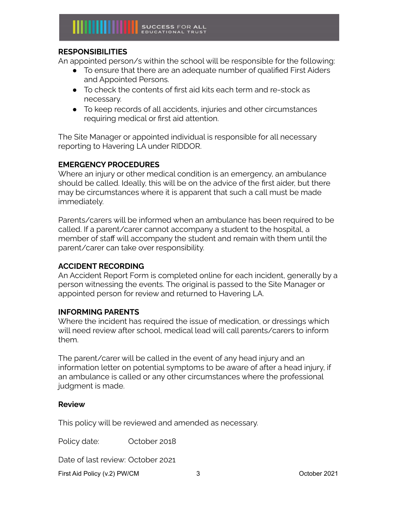

### **RESPONSIBILITIES**

An appointed person/s within the school will be responsible for the following:

- To ensure that there are an adequate number of qualified First Aiders and Appointed Persons.
- To check the contents of first aid kits each term and re-stock as necessary.
- To keep records of all accidents, injuries and other circumstances requiring medical or first aid attention.

The Site Manager or appointed individual is responsible for all necessary reporting to Havering LA under RIDDOR.

### **EMERGENCY PROCEDURES**

Where an injury or other medical condition is an emergency, an ambulance should be called. Ideally, this will be on the advice of the first aider, but there may be circumstances where it is apparent that such a call must be made immediately.

Parents/carers will be informed when an ambulance has been required to be called. If a parent/carer cannot accompany a student to the hospital, a member of staff will accompany the student and remain with them until the parent/carer can take over responsibility.

### **ACCIDENT RECORDING**

An Accident Report Form is completed online for each incident, generally by a person witnessing the events. The original is passed to the Site Manager or appointed person for review and returned to Havering LA.

### **INFORMING PARENTS**

Where the incident has required the issue of medication, or dressings which will need review after school, medical lead will call parents/carers to inform them.

The parent/carer will be called in the event of any head injury and an information letter on potential symptoms to be aware of after a head injury, if an ambulance is called or any other circumstances where the professional judgment is made.

### **Review**

This policy will be reviewed and amended as necessary.

Policy date: October 2018

Date of last review: October 2021

First Aid Policy (v.2) PW/CM 3 October 2021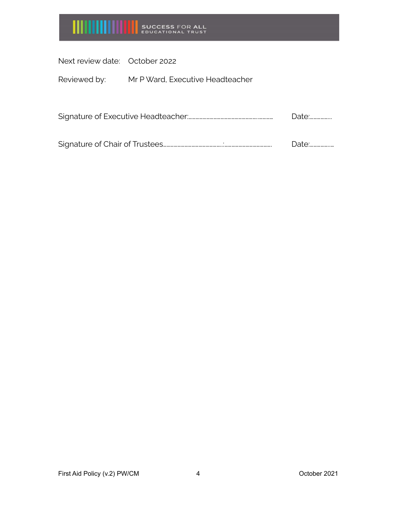

Next review date: October 2022

Reviewed by: Mr P Ward, Executive Headteacher

| Signature of Executive Headteacher |  |
|------------------------------------|--|
|------------------------------------|--|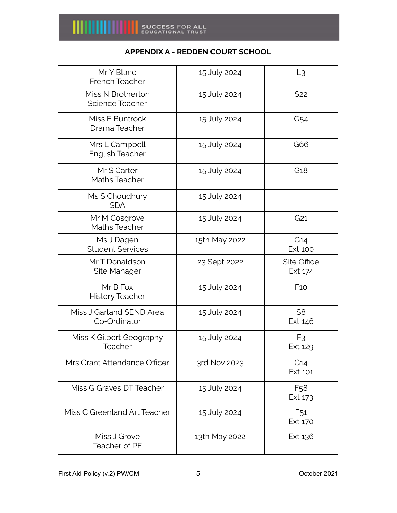

# **APPENDIX A - REDDEN COURT SCHOOL**

| Mr Y Blanc<br>French Teacher             | 15 July 2024  | L <sub>3</sub>             |
|------------------------------------------|---------------|----------------------------|
| Miss N Brotherton<br>Science Teacher     | 15 July 2024  | S <sub>22</sub>            |
| Miss E Buntrock<br>Drama Teacher         | 15 July 2024  | G <sub>54</sub>            |
| Mrs L Campbell<br><b>English Teacher</b> | 15 July 2024  | G66                        |
| Mr S Carter<br><b>Maths Teacher</b>      | 15 July 2024  | G <sub>18</sub>            |
| Ms S Choudhury<br><b>SDA</b>             | 15 July 2024  |                            |
| Mr M Cosgrove<br><b>Maths Teacher</b>    | 15 July 2024  | G <sub>21</sub>            |
| Ms J Dagen<br><b>Student Services</b>    | 15th May 2022 | G14<br><b>Ext 100</b>      |
| Mr T Donaldson<br>Site Manager           | 23 Sept 2022  | Site Office<br>Ext 174     |
| Mr B Fox<br><b>History Teacher</b>       | 15 July 2024  | F10                        |
| Miss J Garland SEND Area<br>Co-Ordinator | 15 July 2024  | S <sub>8</sub><br>Ext 146  |
| Miss K Gilbert Geography<br>Teacher      | 15 July 2024  | F <sub>3</sub><br>Ext 129  |
| Mrs Grant Attendance Officer             | 3rd Nov 2023  | G14<br>Ext 101             |
| Miss G Graves DT Teacher                 | 15 July 2024  | F <sub>58</sub><br>Ext 173 |
| Miss C Greenland Art Teacher             | 15 July 2024  | F <sub>51</sub><br>Ext 170 |
| Miss J Grove<br><b>Teacher of PE</b>     | 13th May 2022 | Ext 136                    |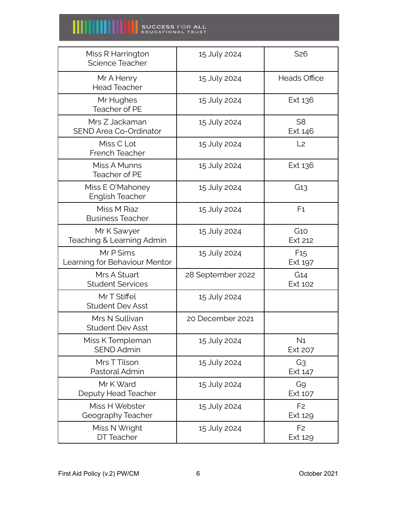| Miss R Harrington<br>Science Teacher            | 15 July 2024      | S <sub>26</sub>           |
|-------------------------------------------------|-------------------|---------------------------|
| Mr A Henry<br><b>Head Teacher</b>               | 15 July 2024      | <b>Heads Office</b>       |
| Mr Hughes<br>Teacher of PE                      | 15 July 2024      | Ext 136                   |
| Mrs Z Jackaman<br><b>SEND Area Co-Ordinator</b> | 15 July 2024      | S <sub>8</sub><br>Ext 146 |
| Miss C Lot<br>French Teacher                    | 15 July 2024      | L <sub>2</sub>            |
| Miss A Munns<br>Teacher of PE                   | 15 July 2024      | Ext 136                   |
| Miss E O'Mahoney<br><b>English Teacher</b>      | 15 July 2024      | G13                       |
| Miss M Riaz<br><b>Business Teacher</b>          | 15 July 2024      | F <sub>1</sub>            |
| Mr K Sawyer<br>Teaching & Learning Admin        | 15 July 2024      | G1O<br>Ext 212            |
| Mr P Sims<br>Learning for Behaviour Mentor      | 15 July 2024      | F15<br>Ext 197            |
| Mrs A Stuart<br><b>Student Services</b>         | 28 September 2022 | G14<br>Ext 102            |
| Mr T Stiffel<br><b>Student Dev Asst</b>         | 15 July 2024      |                           |
| Mrs N Sullivan<br><b>Student Dev Asst</b>       | 20 December 2021  |                           |
| Miss K Templeman<br><b>SEND Admin</b>           | 15 July 2024      | N <sub>1</sub><br>Ext 207 |
| Mrs T Tilson<br>Pastoral Admin                  | 15 July 2024      | G3<br>Ext 147             |
| Mr K Ward<br>Deputy Head Teacher                | 15 July 2024      | G9<br>Ext 107             |
| Miss H Webster<br>Geography Teacher             | 15 July 2024      | F <sub>2</sub><br>Ext 129 |
| Miss N Wright<br>DT Teacher                     | 15 July 2024      | F <sub>2</sub><br>Ext 129 |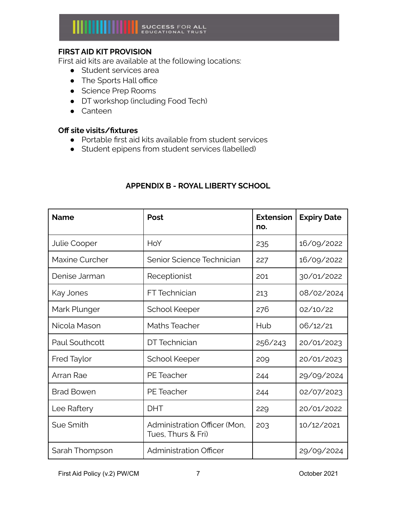# **FIRST AID KIT PROVISION**

First aid kits are available at the following locations:

- Student services area
- The Sports Hall office
- Science Prep Rooms
- DT workshop (including Food Tech)
- Canteen

#### **Off site visits/fixtures**

- Portable first aid kits available from student services
- Student epipens from student services (labelled)

# **APPENDIX B - ROYAL LIBERTY SCHOOL**

| <b>Name</b>         | Post                                               | <b>Extension</b><br>no. | <b>Expiry Date</b> |
|---------------------|----------------------------------------------------|-------------------------|--------------------|
| <b>Julie Cooper</b> | HoY                                                | 235                     | 16/09/2022         |
| Maxine Curcher      | Senior Science Technician                          | 227                     | 16/09/2022         |
| Denise Jarman       | Receptionist                                       | 201                     | 30/01/2022         |
| Kay Jones           | <b>FT</b> Technician                               | 213                     | 08/02/2024         |
| Mark Plunger        | School Keeper                                      | 276                     | 02/10/22           |
| Nicola Mason        | <b>Maths Teacher</b>                               | Hub                     | 06/12/21           |
| Paul Southcott      | DT Technician                                      | 256/243                 | 20/01/2023         |
| <b>Fred Taylor</b>  | School Keeper                                      | 209                     | 20/01/2023         |
| Arran Rae           | <b>PE</b> Teacher                                  | 244                     | 29/09/2024         |
| <b>Brad Bowen</b>   | <b>PE</b> Teacher                                  | 244                     | 02/07/2023         |
| Lee Raftery         | <b>DHT</b>                                         | 229                     | 20/01/2022         |
| Sue Smith           | Administration Officer (Mon.<br>Tues, Thurs & Fri) | 203                     | 10/12/2021         |
| Sarah Thompson      | <b>Administration Officer</b>                      |                         | 29/09/2024         |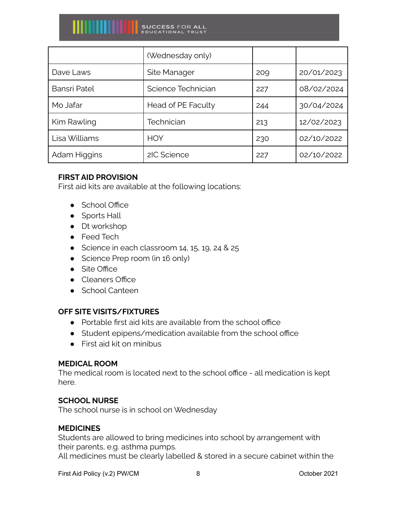|                     | (Wednesday only)   |     |            |
|---------------------|--------------------|-----|------------|
| Dave Laws           | Site Manager       | 209 | 20/01/2023 |
| <b>Bansri Patel</b> | Science Technician | 227 | 08/02/2024 |
| Mo Jafar            | Head of PE Faculty | 244 | 30/04/2024 |
| Kim Rawling         | Technician         | 213 | 12/02/2023 |
| Lisa Williams       | <b>HOY</b>         | 230 | 02/10/2022 |
| Adam Higgins        | 2IC Science        | 227 | 02/10/2022 |

### **FIRST AID PROVISION**

First aid kits are available at the following locations:

- School Office
- Sports Hall
- Dt workshop
- Feed Tech
- Science in each classroom  $14, 15, 19, 24$  &  $25$
- Science Prep room (in 16 only)
- Site Office
- Cleaners Office
- School Canteen

### **OFF SITE VISITS/FIXTURES**

- Portable first aid kits are available from the school office
- Student epipens/medication available from the school office
- First aid kit on minibus

### **MEDICAL ROOM**

The medical room is located next to the school office - all medication is kept here.

### **SCHOOL NURSE**

The school nurse is in school on Wednesday

### **MEDICINES**

Students are allowed to bring medicines into school by arrangement with their parents, e.g. asthma pumps. All medicines must be clearly labelled & stored in a secure cabinet within the

First Aid Policy (v.2) PW/CM 8 8 8 0ctober 2021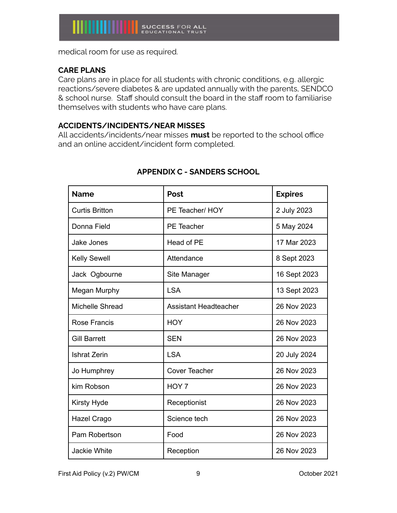medical room for use as required.

# **CARE PLANS**

Care plans are in place for all students with chronic conditions, e.g. allergic reactions/severe diabetes & are updated annually with the parents, SENDCO & school nurse. Staff should consult the board in the staff room to familiarise themselves with students who have care plans.

### **ACCIDENTS/INCIDENTS/NEAR MISSES**

All accidents/incidents/near misses **must** be reported to the school office and an online accident/incident form completed.

| <b>Name</b>           | Post                         | <b>Expires</b> |
|-----------------------|------------------------------|----------------|
| <b>Curtis Britton</b> | PE Teacher/ HOY              | 2 July 2023    |
| Donna Field           | PE Teacher                   | 5 May 2024     |
| Jake Jones            | Head of PE                   | 17 Mar 2023    |
| <b>Kelly Sewell</b>   | Attendance                   | 8 Sept 2023    |
| Jack Ogbourne         | Site Manager                 | 16 Sept 2023   |
| Megan Murphy          | <b>LSA</b>                   | 13 Sept 2023   |
| Michelle Shread       | <b>Assistant Headteacher</b> | 26 Nov 2023    |
| Rose Francis          | <b>HOY</b>                   | 26 Nov 2023    |
| <b>Gill Barrett</b>   | <b>SEN</b>                   | 26 Nov 2023    |
| <b>Ishrat Zerin</b>   | <b>LSA</b>                   | 20 July 2024   |
| Jo Humphrey           | <b>Cover Teacher</b>         | 26 Nov 2023    |
| kim Robson            | HOY 7                        | 26 Nov 2023    |
| Kirsty Hyde           | Receptionist                 | 26 Nov 2023    |
| Hazel Crago           | Science tech                 | 26 Nov 2023    |
| Pam Robertson         | Food                         | 26 Nov 2023    |
| <b>Jackie White</b>   | Reception                    | 26 Nov 2023    |

# **APPENDIX C - SANDERS SCHOOL**

First Aid Policy (v.2) PW/CM 9 9 0ctober 2021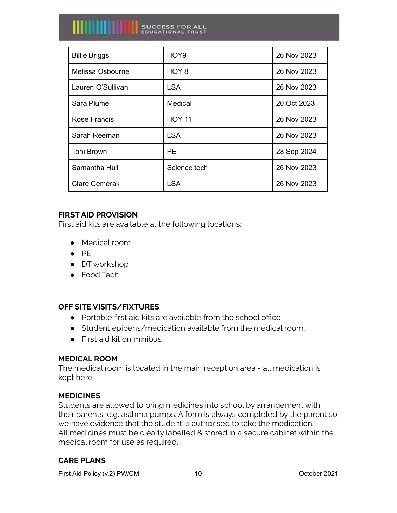| <b>Billie Briggs</b> | HOY9             | 26 Nov 2023 |
|----------------------|------------------|-------------|
| Melissa Osbourne     | HOY <sub>8</sub> | 26 Nov 2023 |
| Lauren O'Sullivan    | <b>LSA</b>       | 26 Nov 2023 |
| Sara Plume           | Medical          | 20 Oct 2023 |
| Rose Francis         | <b>HOY 11</b>    | 26 Nov 2023 |
| Sarah Reeman         | <b>LSA</b>       | 26 Nov 2023 |
| <b>Toni Brown</b>    | PE.              | 28 Sep 2024 |
| Samantha Hull        | Science tech     | 26 Nov 2023 |
| <b>Clare Cemerak</b> | <b>LSA</b>       | 26 Nov 2023 |

# **FIRST AID PROVISION**

First aid kits are available at the following locations:

- Medical room
- PE
- DT workshop
- Food Tech

# **OFF SITE VISITS/FIXTURES**

- Portable first aid kits are available from the school office
- Student epipens/medication available from the medical room.
- First aid kit on minibus

### **MEDICAL ROOM**

The medical room is located in the main reception area - all medication is kept here.

# **MEDICINES**

Students are allowed to bring medicines into school by arrangement with their parents, e.g. asthma pumps. A form is always completed by the parent so we have evidence that the student is authorised to take the medication. All medicines must be clearly labelled & stored in a secure cabinet within the medical room for use as required.

# **CARE PLANS**

First Aid Policy (v.2) PW/CM 10 10 10 Cotober 2021